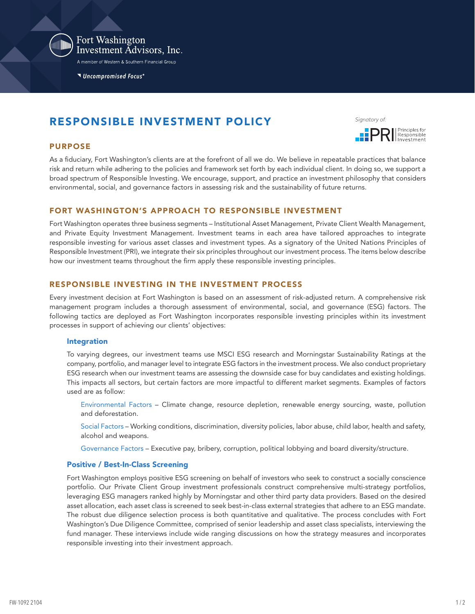

Fort Washington Investment Advisors, Inc.

A member of Western & Southern Financial Group

Uncompromised Focus®

# RESPONSIBLE INVESTMENT POLICY

Signatory of

Principles for

### PURPOSE

As a fiduciary, Fort Washington's clients are at the forefront of all we do. We believe in repeatable practices that balance risk and return while adhering to the policies and framework set forth by each individual client. In doing so, we support a broad spectrum of Responsible Investing. We encourage, support, and practice an investment philosophy that considers environmental, social, and governance factors in assessing risk and the sustainability of future returns.

# FORT WASHINGTON'S APPROACH TO RESPONSIBLE INVESTMENT

Fort Washington operates three business segments – Institutional Asset Management, Private Client Wealth Management, and Private Equity Investment Management. Investment teams in each area have tailored approaches to integrate responsible investing for various asset classes and investment types. As a signatory of the United Nations Principles of Responsible Investment (PRI), we integrate their six principles throughout our investment process. The items below describe how our investment teams throughout the firm apply these responsible investing principles.

### RESPONSIBLE INVESTING IN THE INVESTMENT PROCESS

Every investment decision at Fort Washington is based on an assessment of risk-adjusted return. A comprehensive risk management program includes a thorough assessment of environmental, social, and governance (ESG) factors. The following tactics are deployed as Fort Washington incorporates responsible investing principles within its investment processes in support of achieving our clients' objectives:

### Integration

To varying degrees, our investment teams use MSCI ESG research and Morningstar Sustainability Ratings at the company, portfolio, and manager level to integrate ESG factors in the investment process. We also conduct proprietary ESG research when our investment teams are assessing the downside case for buy candidates and existing holdings. This impacts all sectors, but certain factors are more impactful to different market segments. Examples of factors used are as follow:

Environmental Factors – Climate change, resource depletion, renewable energy sourcing, waste, pollution and deforestation.

Social Factors – Working conditions, discrimination, diversity policies, labor abuse, child labor, health and safety, alcohol and weapons.

Governance Factors – Executive pay, bribery, corruption, political lobbying and board diversity/structure.

### Positive / Best-In-Class Screening

Fort Washington employs positive ESG screening on behalf of investors who seek to construct a socially conscience portfolio. Our Private Client Group investment professionals construct comprehensive multi-strategy portfolios, leveraging ESG managers ranked highly by Morningstar and other third party data providers. Based on the desired asset allocation, each asset class is screened to seek best-in-class external strategies that adhere to an ESG mandate. The robust due diligence selection process is both quantitative and qualitative. The process concludes with Fort Washington's Due Diligence Committee, comprised of senior leadership and asset class specialists, interviewing the fund manager. These interviews include wide ranging discussions on how the strategy measures and incorporates responsible investing into their investment approach.